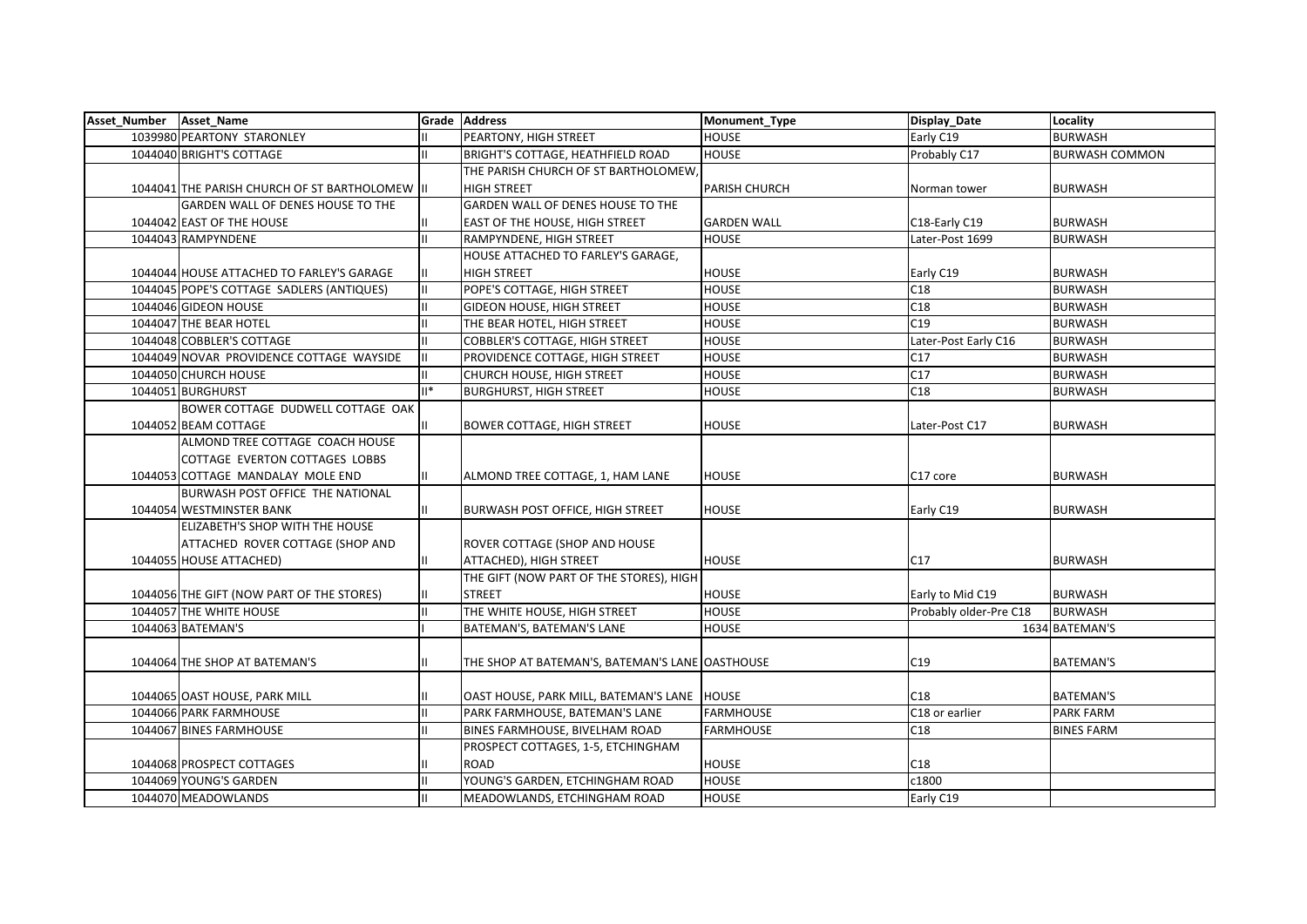| Asset_Number Asset_Name |                                             |        | Grade Address                                   | Monument_Type        | Display_Date           | Locality              |
|-------------------------|---------------------------------------------|--------|-------------------------------------------------|----------------------|------------------------|-----------------------|
|                         | 1039980 PEARTONY STARONLEY                  |        | PEARTONY, HIGH STREET                           | <b>HOUSE</b>         | Early C19              | <b>BURWASH</b>        |
|                         | 1044040 BRIGHT'S COTTAGE                    |        | <b>BRIGHT'S COTTAGE, HEATHFIELD ROAD</b>        | <b>HOUSE</b>         | Probably C17           | <b>BURWASH COMMON</b> |
|                         |                                             |        | THE PARISH CHURCH OF ST BARTHOLOMEW.            |                      |                        |                       |
|                         | 1044041 THE PARISH CHURCH OF ST BARTHOLOMEW |        | <b>HIGH STREET</b>                              | <b>PARISH CHURCH</b> | Norman tower           | <b>BURWASH</b>        |
|                         | GARDEN WALL OF DENES HOUSE TO THE           |        | GARDEN WALL OF DENES HOUSE TO THE               |                      |                        |                       |
|                         | 1044042 EAST OF THE HOUSE                   |        | <b>EAST OF THE HOUSE, HIGH STREET</b>           | <b>GARDEN WALL</b>   | C18-Early C19          | <b>BURWASH</b>        |
|                         | 1044043 RAMPYNDENE                          |        | RAMPYNDENE, HIGH STREET                         | <b>HOUSE</b>         | Later-Post 1699        | <b>BURWASH</b>        |
|                         |                                             |        | HOUSE ATTACHED TO FARLEY'S GARAGE,              |                      |                        |                       |
|                         | 1044044 HOUSE ATTACHED TO FARLEY'S GARAGE   |        | <b>HIGH STREET</b>                              | <b>HOUSE</b>         | Early C19              | <b>BURWASH</b>        |
|                         | 1044045 POPE'S COTTAGE SADLERS (ANTIQUES)   |        | POPE'S COTTAGE, HIGH STREET                     | <b>HOUSE</b>         | C18                    | <b>BURWASH</b>        |
|                         | 1044046 GIDEON HOUSE                        |        | <b>GIDEON HOUSE, HIGH STREET</b>                | <b>HOUSE</b>         | C18                    | <b>BURWASH</b>        |
|                         | 1044047 THE BEAR HOTEL                      |        | THE BEAR HOTEL, HIGH STREET                     | <b>HOUSE</b>         | C19                    | <b>BURWASH</b>        |
|                         | 1044048 COBBLER'S COTTAGE                   |        | <b>COBBLER'S COTTAGE, HIGH STREET</b>           | <b>HOUSE</b>         | Later-Post Early C16   | <b>BURWASH</b>        |
|                         | 1044049 NOVAR PROVIDENCE COTTAGE WAYSIDE    |        | PROVIDENCE COTTAGE, HIGH STREET                 | <b>HOUSE</b>         | C17                    | <b>BURWASH</b>        |
|                         | 1044050 CHURCH HOUSE                        |        | CHURCH HOUSE, HIGH STREET                       | <b>HOUSE</b>         | C17                    | <b>BURWASH</b>        |
|                         | 1044051 BURGHURST                           | $II^*$ | <b>BURGHURST, HIGH STREET</b>                   | <b>HOUSE</b>         | C18                    | <b>BURWASH</b>        |
|                         | BOWER COTTAGE DUDWELL COTTAGE OAK           |        |                                                 |                      |                        |                       |
|                         | 1044052 BEAM COTTAGE                        |        | <b>BOWER COTTAGE, HIGH STREET</b>               | <b>HOUSE</b>         | Later-Post C17         | <b>BURWASH</b>        |
|                         | ALMOND TREE COTTAGE COACH HOUSE             |        |                                                 |                      |                        |                       |
|                         | COTTAGE EVERTON COTTAGES LOBBS              |        |                                                 |                      |                        |                       |
|                         | 1044053 COTTAGE MANDALAY MOLE END           |        | ALMOND TREE COTTAGE, 1, HAM LANE                | <b>HOUSE</b>         | C17 core               | <b>BURWASH</b>        |
|                         | BURWASH POST OFFICE THE NATIONAL            |        |                                                 |                      |                        |                       |
|                         | 1044054 WESTMINSTER BANK                    |        | <b>BURWASH POST OFFICE, HIGH STREET</b>         | <b>HOUSE</b>         | Early C19              | <b>BURWASH</b>        |
|                         | ELIZABETH'S SHOP WITH THE HOUSE             |        |                                                 |                      |                        |                       |
|                         | ATTACHED ROVER COTTAGE (SHOP AND            |        | ROVER COTTAGE (SHOP AND HOUSE                   |                      |                        |                       |
|                         | 1044055 HOUSE ATTACHED)                     |        | ATTACHED), HIGH STREET                          | <b>HOUSE</b>         | C17                    | <b>BURWASH</b>        |
|                         |                                             |        | THE GIFT (NOW PART OF THE STORES), HIGH         |                      |                        |                       |
|                         | 1044056 THE GIFT (NOW PART OF THE STORES)   |        | <b>STREET</b>                                   | <b>HOUSE</b>         | Early to Mid C19       | <b>BURWASH</b>        |
|                         | 1044057 THE WHITE HOUSE                     |        | THE WHITE HOUSE, HIGH STREET                    | <b>HOUSE</b>         | Probably older-Pre C18 | <b>BURWASH</b>        |
|                         | 1044063 BATEMAN'S                           |        | BATEMAN'S, BATEMAN'S LANE                       | <b>HOUSE</b>         |                        | 1634 BATEMAN'S        |
|                         |                                             |        |                                                 |                      |                        |                       |
|                         | 1044064 THE SHOP AT BATEMAN'S               |        | THE SHOP AT BATEMAN'S, BATEMAN'S LANE OASTHOUSE |                      | C19                    | <b>BATEMAN'S</b>      |
|                         |                                             |        |                                                 |                      |                        |                       |
|                         | 1044065 OAST HOUSE, PARK MILL               |        | OAST HOUSE, PARK MILL, BATEMAN'S LANE   HOUSE   |                      | C18                    | <b>BATEMAN'S</b>      |
|                         | 1044066 PARK FARMHOUSE                      |        | PARK FARMHOUSE, BATEMAN'S LANE                  | <b>FARMHOUSE</b>     | C18 or earlier         | <b>PARK FARM</b>      |
|                         | 1044067 BINES FARMHOUSE                     |        | <b>BINES FARMHOUSE, BIVELHAM ROAD</b>           | <b>FARMHOUSE</b>     | C18                    | <b>BINES FARM</b>     |
|                         |                                             |        | PROSPECT COTTAGES, 1-5, ETCHINGHAM              |                      |                        |                       |
|                         | 1044068 PROSPECT COTTAGES                   |        | <b>ROAD</b>                                     | <b>HOUSE</b>         | C18                    |                       |
|                         | 1044069 YOUNG'S GARDEN                      |        | YOUNG'S GARDEN, ETCHINGHAM ROAD                 | <b>HOUSE</b>         | c1800                  |                       |
|                         | 1044070 MEADOWLANDS                         |        | MEADOWLANDS, ETCHINGHAM ROAD                    | <b>HOUSE</b>         | Early C19              |                       |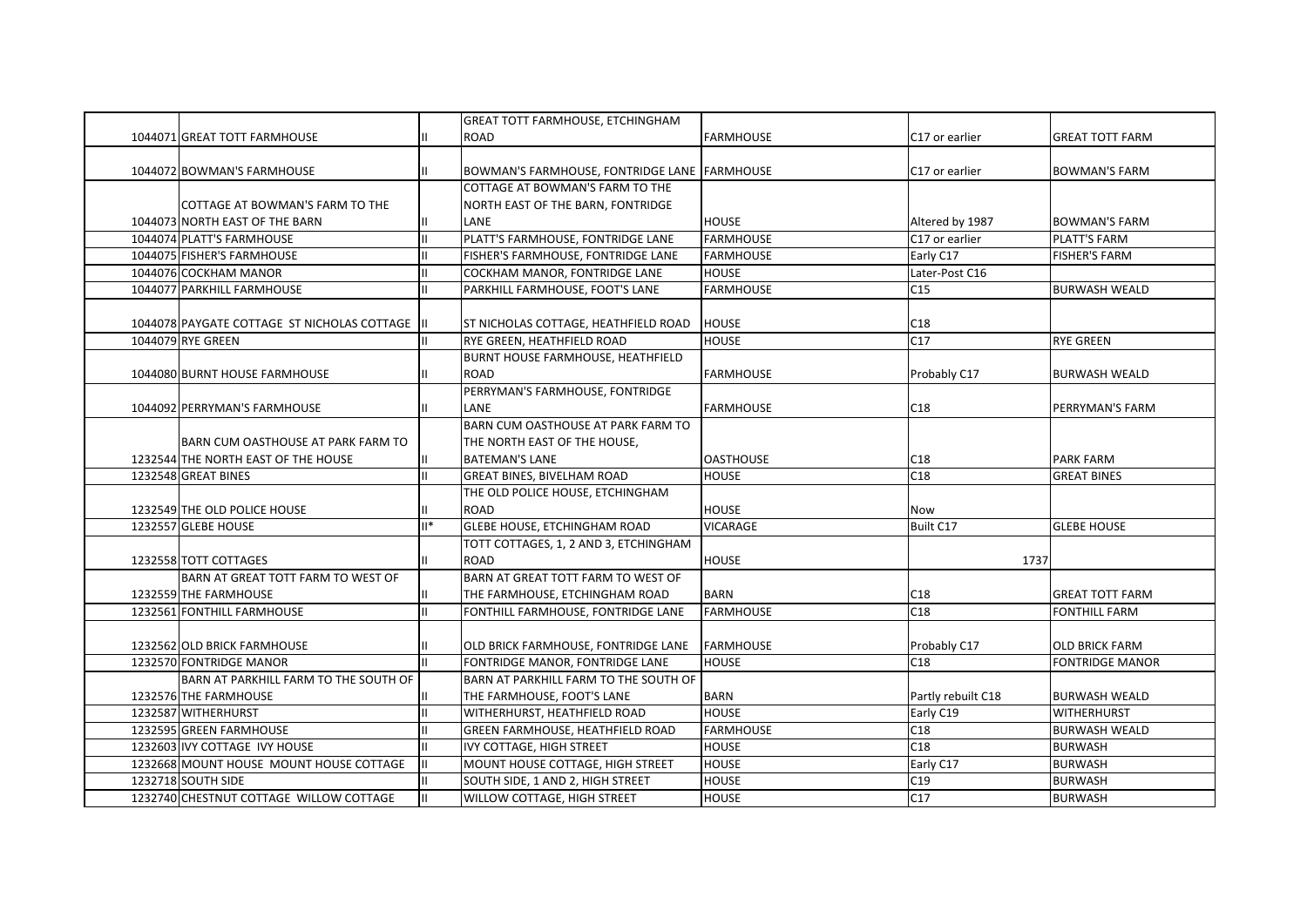|                                                 |               | <b>GREAT TOTT FARMHOUSE, ETCHINGHAM</b>      |                  |                    |                        |
|-------------------------------------------------|---------------|----------------------------------------------|------------------|--------------------|------------------------|
| 1044071 GREAT TOTT FARMHOUSE                    |               | <b>ROAD</b>                                  | <b>FARMHOUSE</b> | C17 or earlier     | <b>GREAT TOTT FARM</b> |
|                                                 |               |                                              |                  |                    |                        |
| 1044072 BOWMAN'S FARMHOUSE                      |               | BOWMAN'S FARMHOUSE, FONTRIDGE LANE FARMHOUSE |                  | C17 or earlier     | <b>BOWMAN'S FARM</b>   |
|                                                 |               | COTTAGE AT BOWMAN'S FARM TO THE              |                  |                    |                        |
| COTTAGE AT BOWMAN'S FARM TO THE                 |               | NORTH EAST OF THE BARN, FONTRIDGE            |                  |                    |                        |
| 1044073 NORTH EAST OF THE BARN                  |               | LANE                                         | <b>HOUSE</b>     | Altered by 1987    | <b>BOWMAN'S FARM</b>   |
| 1044074 PLATT'S FARMHOUSE                       | lπ            | PLATT'S FARMHOUSE, FONTRIDGE LANE            | <b>FARMHOUSE</b> | C17 or earlier     | PLATT'S FARM           |
| 1044075 FISHER'S FARMHOUSE                      | lπ            | FISHER'S FARMHOUSE, FONTRIDGE LANE           | <b>FARMHOUSE</b> | Early C17          | <b>FISHER'S FARM</b>   |
| 1044076 COCKHAM MANOR                           | lπ            | COCKHAM MANOR, FONTRIDGE LANE                | <b>HOUSE</b>     | Later-Post C16     |                        |
| 1044077 PARKHILL FARMHOUSE                      | Ш             | PARKHILL FARMHOUSE, FOOT'S LANE              | <b>FARMHOUSE</b> | C15                | <b>BURWASH WEALD</b>   |
|                                                 |               |                                              |                  |                    |                        |
| 1044078 PAYGATE COTTAGE ST NICHOLAS COTTAGE  II |               | ST NICHOLAS COTTAGE, HEATHFIELD ROAD         | <b>HOUSE</b>     | C18                |                        |
| 1044079 RYE GREEN                               | Ш             | <b>RYE GREEN, HEATHFIELD ROAD</b>            | <b>HOUSE</b>     | C17                | <b>RYE GREEN</b>       |
|                                                 |               | <b>BURNT HOUSE FARMHOUSE, HEATHFIELD</b>     |                  |                    |                        |
| 1044080 BURNT HOUSE FARMHOUSE                   |               | <b>ROAD</b>                                  | <b>FARMHOUSE</b> | Probably C17       | <b>BURWASH WEALD</b>   |
|                                                 |               | PERRYMAN'S FARMHOUSE, FONTRIDGE              |                  |                    |                        |
| 1044092 PERRYMAN'S FARMHOUSE                    |               | LANE                                         | <b>FARMHOUSE</b> | C18                | PERRYMAN'S FARM        |
|                                                 |               | BARN CUM OASTHOUSE AT PARK FARM TO           |                  |                    |                        |
| BARN CUM OASTHOUSE AT PARK FARM TO              |               | THE NORTH EAST OF THE HOUSE,                 |                  |                    |                        |
| 1232544 THE NORTH EAST OF THE HOUSE             | Ш             | <b>BATEMAN'S LANE</b>                        | <b>OASTHOUSE</b> | C18                | <b>PARK FARM</b>       |
| 1232548 GREAT BINES                             | $\mathbf{II}$ | <b>GREAT BINES, BIVELHAM ROAD</b>            | <b>HOUSE</b>     | C18                | <b>GREAT BINES</b>     |
|                                                 |               | THE OLD POLICE HOUSE, ETCHINGHAM             |                  |                    |                        |
| 1232549 THE OLD POLICE HOUSE                    |               | <b>ROAD</b>                                  | <b>HOUSE</b>     | Now                |                        |
| 1232557 GLEBE HOUSE                             | $II*$         | GLEBE HOUSE, ETCHINGHAM ROAD                 | <b>VICARAGE</b>  | Built C17          | <b>GLEBE HOUSE</b>     |
|                                                 |               | TOTT COTTAGES, 1, 2 AND 3, ETCHINGHAM        |                  |                    |                        |
| 1232558 TOTT COTTAGES                           |               | <b>ROAD</b>                                  | <b>HOUSE</b>     | 1737               |                        |
| BARN AT GREAT TOTT FARM TO WEST OF              |               | BARN AT GREAT TOTT FARM TO WEST OF           |                  |                    |                        |
| 1232559 THE FARMHOUSE                           | Ш             | THE FARMHOUSE, ETCHINGHAM ROAD               | <b>BARN</b>      | C18                | <b>GREAT TOTT FARM</b> |
| 1232561 FONTHILL FARMHOUSE                      | $\mathbf{H}$  | FONTHILL FARMHOUSE, FONTRIDGE LANE           | <b>FARMHOUSE</b> | C18                | <b>FONTHILL FARM</b>   |
|                                                 |               |                                              |                  |                    |                        |
| 1232562 OLD BRICK FARMHOUSE                     |               | OLD BRICK FARMHOUSE, FONTRIDGE LANE          | <b>FARMHOUSE</b> | Probably C17       | <b>OLD BRICK FARM</b>  |
| 1232570 FONTRIDGE MANOR                         | $\mathbf{H}$  | FONTRIDGE MANOR, FONTRIDGE LANE              | <b>HOUSE</b>     | C18                | <b>FONTRIDGE MANOR</b> |
| BARN AT PARKHILL FARM TO THE SOUTH OF           |               | BARN AT PARKHILL FARM TO THE SOUTH OF        |                  |                    |                        |
| 1232576 THE FARMHOUSE                           |               | THE FARMHOUSE, FOOT'S LANE                   | <b>BARN</b>      | Partly rebuilt C18 | <b>BURWASH WEALD</b>   |
| 1232587 WITHERHURST                             | ΙI            | WITHERHURST, HEATHFIELD ROAD                 | <b>HOUSE</b>     | Early C19          | <b>WITHERHURST</b>     |
| 1232595 GREEN FARMHOUSE                         | lπ            | GREEN FARMHOUSE, HEATHFIELD ROAD             | <b>FARMHOUSE</b> | C18                | <b>BURWASH WEALD</b>   |
| 1232603 IVY COTTAGE IVY HOUSE                   | Iш            | IVY COTTAGE, HIGH STREET                     | <b>HOUSE</b>     | C <sub>18</sub>    | <b>BURWASH</b>         |
| 1232668 MOUNT HOUSE MOUNT HOUSE COTTAGE         | Ш             | MOUNT HOUSE COTTAGE, HIGH STREET             | <b>HOUSE</b>     | Early C17          | <b>BURWASH</b>         |
| 1232718 SOUTH SIDE                              | IШ            | SOUTH SIDE, 1 AND 2, HIGH STREET             | <b>HOUSE</b>     | C19                | <b>BURWASH</b>         |
| 1232740 CHESTNUT COTTAGE WILLOW COTTAGE         | IШ            | <b>WILLOW COTTAGE, HIGH STREET</b>           | <b>HOUSE</b>     | C17                | <b>BURWASH</b>         |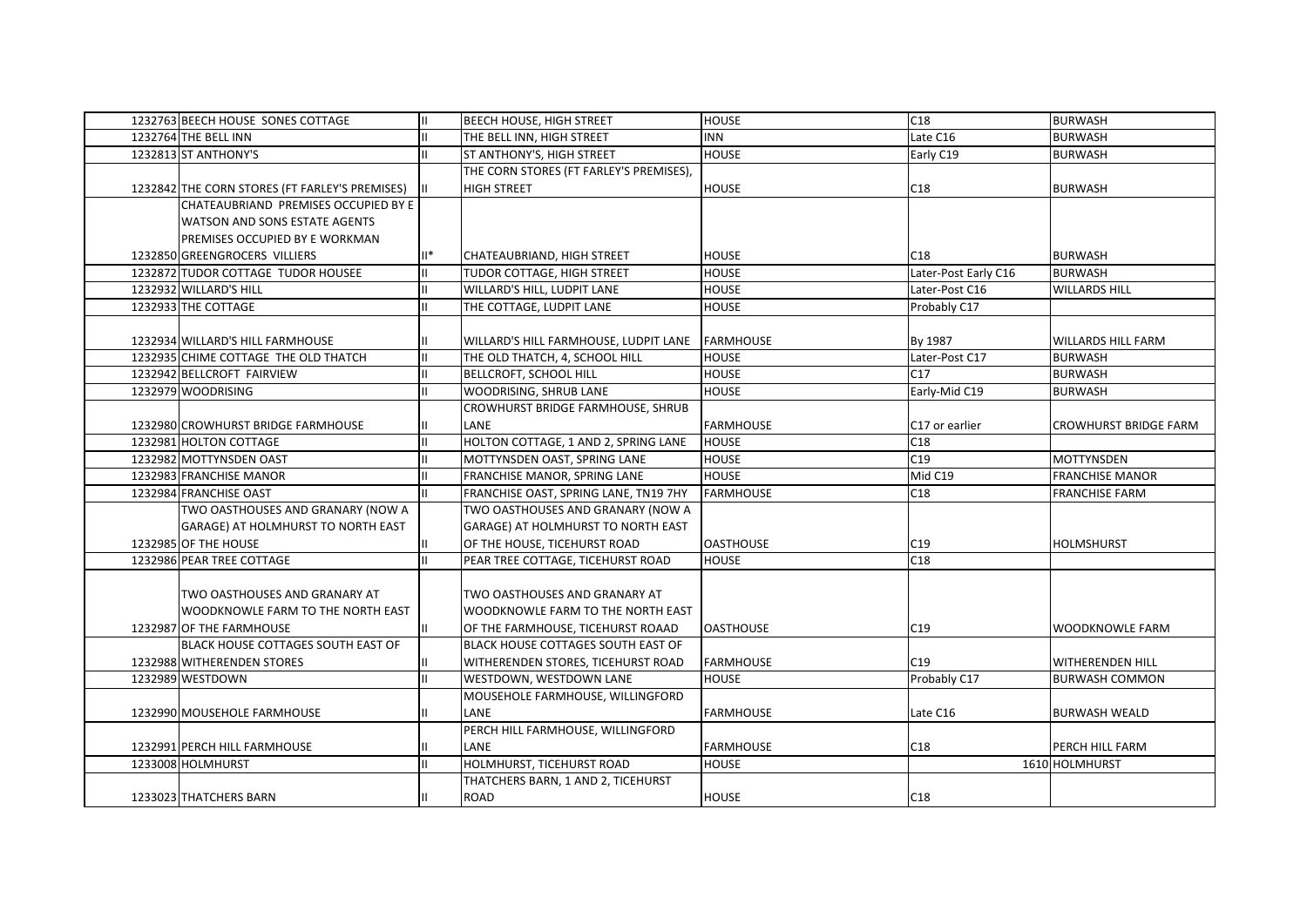| 1232763 BEECH HOUSE SONES COTTAGE                 |                | <b>BEECH HOUSE, HIGH STREET</b>           | <b>HOUSE</b>                     | C18                  | <b>BURWASH</b>            |
|---------------------------------------------------|----------------|-------------------------------------------|----------------------------------|----------------------|---------------------------|
| 1232764 THE BELL INN                              |                | THE BELL INN, HIGH STREET                 | <b>INN</b>                       | Late C16             | <b>BURWASH</b>            |
| 1232813 ST ANTHONY'S                              |                | ST ANTHONY'S, HIGH STREET                 | <b>HOUSE</b>                     | Early C19            | <b>BURWASH</b>            |
|                                                   |                | THE CORN STORES (FT FARLEY'S PREMISES),   |                                  |                      |                           |
| 1232842 THE CORN STORES (FT FARLEY'S PREMISES)    |                | <b>HIGH STREET</b>                        | <b>HOUSE</b>                     | C18                  | <b>BURWASH</b>            |
| CHATEAUBRIAND PREMISES OCCUPIED BY E              |                |                                           |                                  |                      |                           |
| WATSON AND SONS ESTATE AGENTS                     |                |                                           |                                  |                      |                           |
| PREMISES OCCUPIED BY E WORKMAN                    |                |                                           |                                  |                      |                           |
| 1232850 GREENGROCERS VILLIERS                     | $\mathbb{I}^*$ | CHATEAUBRIAND, HIGH STREET                | <b>HOUSE</b>                     | C18                  | <b>BURWASH</b>            |
| 1232872 TUDOR COTTAGE TUDOR HOUSEE                | П              | TUDOR COTTAGE, HIGH STREET                | <b>HOUSE</b>                     | Later-Post Early C16 | <b>BURWASH</b>            |
| 1232932 WILLARD'S HILL                            |                | WILLARD'S HILL, LUDPIT LANE               | <b>HOUSE</b>                     | Later-Post C16       | <b>WILLARDS HILL</b>      |
| 1232933 THE COTTAGE                               |                | THE COTTAGE, LUDPIT LANE                  | <b>HOUSE</b>                     | Probably C17         |                           |
|                                                   |                |                                           |                                  |                      |                           |
| 1232934 WILLARD'S HILL FARMHOUSE                  |                | WILLARD'S HILL FARMHOUSE, LUDPIT LANE     | <b>FARMHOUSE</b>                 | By 1987              | <b>WILLARDS HILL FARM</b> |
| 1232935 CHIME COTTAGE THE OLD THATCH              |                | THE OLD THATCH, 4, SCHOOL HILL            | <b>HOUSE</b>                     | Later-Post C17       | <b>BURWASH</b>            |
| 1232942 BELLCROFT FAIRVIEW                        |                | <b>BELLCROFT, SCHOOL HILL</b>             | <b>HOUSE</b>                     | C17                  | <b>BURWASH</b>            |
| 1232979 WOODRISING                                |                | WOODRISING, SHRUB LANE                    | <b>HOUSE</b>                     | Early-Mid C19        | <b>BURWASH</b>            |
|                                                   |                | CROWHURST BRIDGE FARMHOUSE, SHRUB         |                                  |                      |                           |
| 1232980 CROWHURST BRIDGE FARMHOUSE                |                | <b>LANE</b>                               | <b>FARMHOUSE</b>                 | C17 or earlier       | CROWHURST BRIDGE FARM     |
| 1232981 HOLTON COTTAGE                            |                | HOLTON COTTAGE, 1 AND 2, SPRING LANE      | <b>HOUSE</b>                     | C18                  |                           |
| 1232982 MOTTYNSDEN OAST                           |                | MOTTYNSDEN OAST, SPRING LANE              | <b>HOUSE</b>                     | C19                  | <b>MOTTYNSDEN</b>         |
| 1232983 FRANCHISE MANOR                           | П              | FRANCHISE MANOR, SPRING LANE              | <b>HOUSE</b>                     | Mid C19              | <b>FRANCHISE MANOR</b>    |
| 1232984 FRANCHISE OAST                            | Ш.             | FRANCHISE OAST, SPRING LANE, TN19 7HY     | <b>FARMHOUSE</b>                 | C18                  | <b>FRANCHISE FARM</b>     |
| TWO OASTHOUSES AND GRANARY (NOW A                 |                | TWO OASTHOUSES AND GRANARY (NOW A         |                                  |                      |                           |
| GARAGE) AT HOLMHURST TO NORTH EAST                |                | GARAGE) AT HOLMHURST TO NORTH EAST        |                                  |                      |                           |
| 1232985 OF THE HOUSE                              |                | OF THE HOUSE, TICEHURST ROAD              | <b>OASTHOUSE</b>                 | C19                  | <b>HOLMSHURST</b>         |
| 1232986 PEAR TREE COTTAGE                         |                | PEAR TREE COTTAGE, TICEHURST ROAD         | <b>HOUSE</b>                     | C18                  |                           |
|                                                   |                |                                           |                                  |                      |                           |
| TWO OASTHOUSES AND GRANARY AT                     |                | TWO OASTHOUSES AND GRANARY AT             |                                  |                      |                           |
| WOODKNOWLE FARM TO THE NORTH EAST                 |                | WOODKNOWLE FARM TO THE NORTH EAST         |                                  |                      |                           |
| 1232987 OF THE FARMHOUSE                          |                | OF THE FARMHOUSE, TICEHURST ROAAD         | <b>OASTHOUSE</b>                 | C19                  | <b>WOODKNOWLE FARM</b>    |
| <b>BLACK HOUSE COTTAGES SOUTH EAST OF</b>         |                | <b>BLACK HOUSE COTTAGES SOUTH EAST OF</b> |                                  |                      |                           |
| 1232988 WITHERENDEN STORES                        | Ш.             | WITHERENDEN STORES, TICEHURST ROAD        | <b>FARMHOUSE</b>                 | C19                  | WITHERENDEN HILL          |
| 1232989 WESTDOWN                                  |                | WESTDOWN, WESTDOWN LANE                   | <b>HOUSE</b>                     | Probably C17         | <b>BURWASH COMMON</b>     |
|                                                   |                | MOUSEHOLE FARMHOUSE, WILLINGFORD          |                                  |                      |                           |
| 1232990 MOUSEHOLE FARMHOUSE                       |                | LANE                                      | <b>FARMHOUSE</b>                 | Late C16             | <b>BURWASH WEALD</b>      |
|                                                   |                | PERCH HILL FARMHOUSE, WILLINGFORD         |                                  |                      |                           |
|                                                   | н.             | LANE                                      |                                  | C18                  | PERCH HILL FARM           |
| 1232991 PERCH HILL FARMHOUSE<br>1233008 HOLMHURST | П              | HOLMHURST, TICEHURST ROAD                 | <b>FARMHOUSE</b><br><b>HOUSE</b> |                      | 1610 HOLMHURST            |
|                                                   |                |                                           |                                  |                      |                           |
|                                                   |                | THATCHERS BARN, 1 AND 2, TICEHURST        |                                  |                      |                           |
| 1233023 THATCHERS BARN                            |                | <b>ROAD</b>                               | <b>HOUSE</b>                     | C18                  |                           |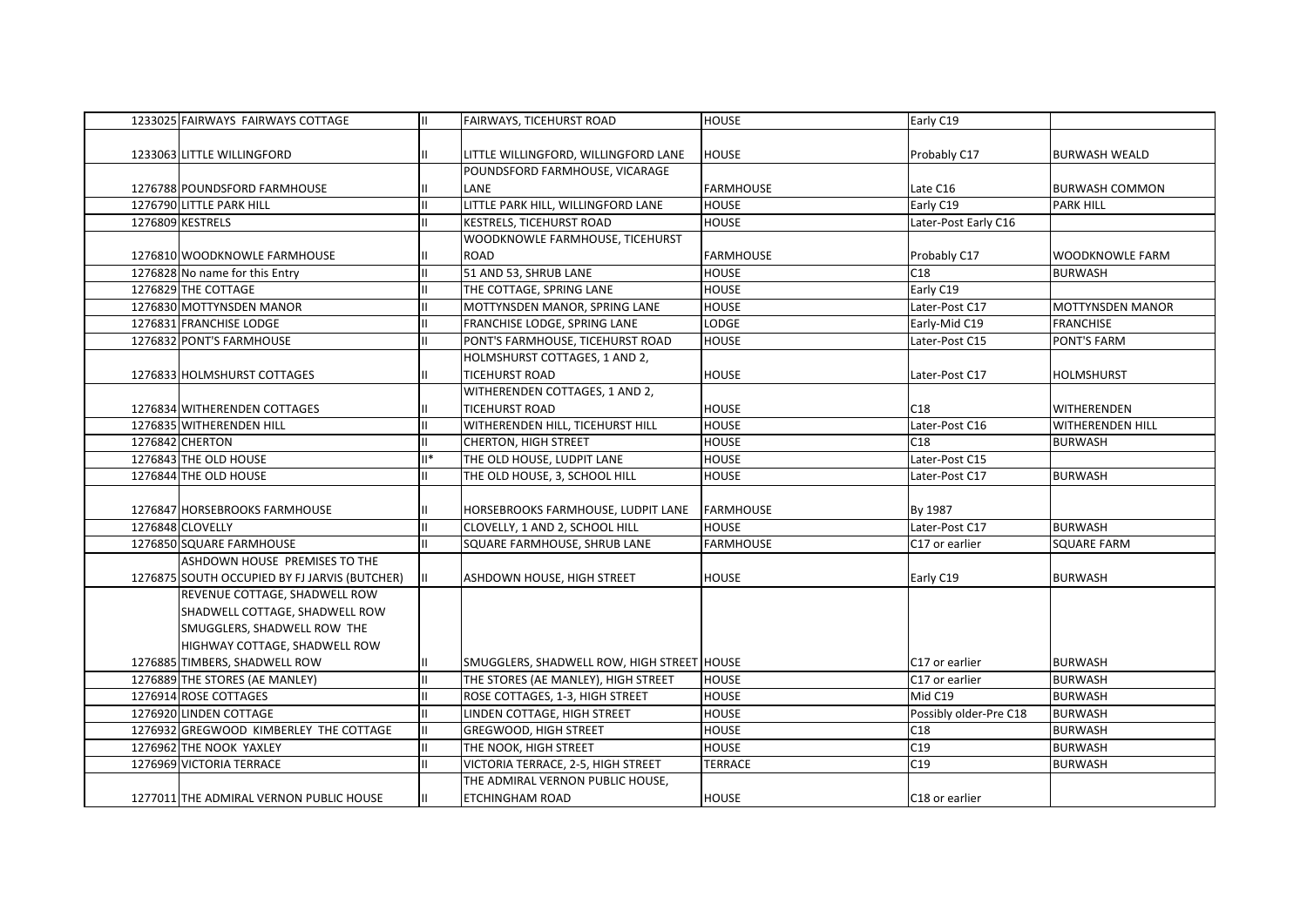| 1233025 FAIRWAYS FAIRWAYS COTTAGE             | $\mathbf{H}$  | FAIRWAYS, TICEHURST ROAD                   | <b>HOUSE</b>     | Early C19                  |                         |
|-----------------------------------------------|---------------|--------------------------------------------|------------------|----------------------------|-------------------------|
|                                               |               |                                            |                  |                            |                         |
| 1233063 LITTLE WILLINGFORD                    | $\mathbf{H}$  | LITTLE WILLINGFORD, WILLINGFORD LANE       | <b>HOUSE</b>     | Probably C17               | <b>BURWASH WEALD</b>    |
|                                               |               | POUNDSFORD FARMHOUSE, VICARAGE             |                  |                            |                         |
| 1276788 POUNDSFORD FARMHOUSE                  | $\mathbf{H}$  | LANE                                       | <b>FARMHOUSE</b> | Late C16                   | <b>BURWASH COMMON</b>   |
| 1276790 LITTLE PARK HILL                      | $\mathbf{II}$ | LITTLE PARK HILL, WILLINGFORD LANE         | <b>HOUSE</b>     | Early C19                  | <b>PARK HILL</b>        |
| 1276809 KESTRELS                              | $\mathbf{H}$  | <b>KESTRELS, TICEHURST ROAD</b>            | <b>HOUSE</b>     | Later-Post Early C16       |                         |
|                                               |               | WOODKNOWLE FARMHOUSE, TICEHURST            |                  |                            |                         |
| 1276810 WOODKNOWLE FARMHOUSE                  | $\mathbf{H}$  | <b>ROAD</b>                                | <b>FARMHOUSE</b> | Probably C17               | <b>WOODKNOWLE FARM</b>  |
| 1276828 No name for this Entry                | $\mathbf{H}$  | 51 AND 53, SHRUB LANE                      | <b>HOUSE</b>     | C18                        | <b>BURWASH</b>          |
| 1276829 THE COTTAGE                           | $\mathbf{H}$  | THE COTTAGE, SPRING LANE                   | <b>HOUSE</b>     | Early C19                  |                         |
| 1276830 MOTTYNSDEN MANOR                      | $\mathbf{II}$ | MOTTYNSDEN MANOR, SPRING LANE              | <b>HOUSE</b>     | Later-Post C17             | <b>MOTTYNSDEN MANOR</b> |
| 1276831 FRANCHISE LODGE                       | $\mathbf{II}$ | FRANCHISE LODGE, SPRING LANE               | <b>LODGE</b>     | Early-Mid C19              | <b>FRANCHISE</b>        |
| 1276832 PONT'S FARMHOUSE                      | $\mathbf{H}$  | PONT'S FARMHOUSE, TICEHURST ROAD           | <b>HOUSE</b>     | Later-Post C15             | <b>PONT'S FARM</b>      |
|                                               |               | HOLMSHURST COTTAGES, 1 AND 2,              |                  |                            |                         |
| 1276833 HOLMSHURST COTTAGES                   | H.            | <b>TICEHURST ROAD</b>                      | <b>HOUSE</b>     | Later-Post C17             | <b>HOLMSHURST</b>       |
|                                               |               | WITHERENDEN COTTAGES, 1 AND 2,             |                  |                            |                         |
| 1276834 WITHERENDEN COTTAGES                  | $\mathbf{H}$  | <b>TICEHURST ROAD</b>                      | <b>HOUSE</b>     | C18                        | WITHERENDEN             |
| 1276835 WITHERENDEN HILL                      | $\mathbf{II}$ | WITHERENDEN HILL, TICEHURST HILL           | <b>HOUSE</b>     | Later-Post C16             | <b>WITHERENDEN HILL</b> |
| 1276842 CHERTON                               | $\mathbf{I}$  | <b>CHERTON, HIGH STREET</b>                | <b>HOUSE</b>     | C18                        | <b>BURWASH</b>          |
| 1276843 THE OLD HOUSE                         | $II^*$        | THE OLD HOUSE, LUDPIT LANE                 | <b>HOUSE</b>     | Later-Post C15             |                         |
| 1276844 THE OLD HOUSE                         | H             | THE OLD HOUSE, 3, SCHOOL HILL              | <b>HOUSE</b>     | Later-Post C17             | <b>BURWASH</b>          |
|                                               |               |                                            |                  |                            |                         |
| 1276847 HORSEBROOKS FARMHOUSE                 | Ш             | HORSEBROOKS FARMHOUSE, LUDPIT LANE         | <b>FARMHOUSE</b> | By 1987                    |                         |
| 1276848 CLOVELLY                              | $\mathbf{II}$ | CLOVELLY, 1 AND 2, SCHOOL HILL             | <b>HOUSE</b>     | Later-Post C17             | <b>BURWASH</b>          |
| 1276850 SQUARE FARMHOUSE                      | H.            | SQUARE FARMHOUSE, SHRUB LANE               | <b>FARMHOUSE</b> | C17 or earlier             | <b>SQUARE FARM</b>      |
| ASHDOWN HOUSE PREMISES TO THE                 |               |                                            |                  |                            |                         |
| 1276875 SOUTH OCCUPIED BY FJ JARVIS (BUTCHER) | IШ            | ASHDOWN HOUSE, HIGH STREET                 | <b>HOUSE</b>     | Early C19                  | <b>BURWASH</b>          |
| REVENUE COTTAGE, SHADWELL ROW                 |               |                                            |                  |                            |                         |
| SHADWELL COTTAGE, SHADWELL ROW                |               |                                            |                  |                            |                         |
| SMUGGLERS, SHADWELL ROW THE                   |               |                                            |                  |                            |                         |
| HIGHWAY COTTAGE, SHADWELL ROW                 |               |                                            |                  |                            |                         |
| 1276885 TIMBERS, SHADWELL ROW                 | Ш             | SMUGGLERS, SHADWELL ROW, HIGH STREET HOUSE |                  | C17 or earlier             | <b>BURWASH</b>          |
| 1276889 THE STORES (AE MANLEY)                | $\mathbf{II}$ | THE STORES (AE MANLEY), HIGH STREET        | <b>HOUSE</b>     | C17 or earlier             | <b>BURWASH</b>          |
| 1276914 ROSE COTTAGES                         | $\mathbf{II}$ | ROSE COTTAGES, 1-3, HIGH STREET            | <b>HOUSE</b>     | Mid C19                    | <b>BURWASH</b>          |
| 1276920 LINDEN COTTAGE                        | $\mathbf{II}$ | LINDEN COTTAGE, HIGH STREET                | <b>HOUSE</b>     | Possibly older-Pre C18     | <b>BURWASH</b>          |
| 1276932 GREGWOOD KIMBERLEY THE COTTAGE        | $\mathbf{II}$ | <b>GREGWOOD, HIGH STREET</b>               | <b>HOUSE</b>     | C18                        | <b>BURWASH</b>          |
| 1276962 THE NOOK YAXLEY                       | $\mathbf{H}$  | THE NOOK, HIGH STREET                      | <b>HOUSE</b>     | C19                        | <b>BURWASH</b>          |
| 1276969 VICTORIA TERRACE                      | $\mathbf{II}$ | VICTORIA TERRACE, 2-5, HIGH STREET         | TERRACE          | C19                        | <b>BURWASH</b>          |
|                                               |               | THE ADMIRAL VERNON PUBLIC HOUSE,           |                  |                            |                         |
| 1277011 THE ADMIRAL VERNON PUBLIC HOUSE       | Ш.            | ETCHINGHAM ROAD                            | <b>HOUSE</b>     | C <sub>18</sub> or earlier |                         |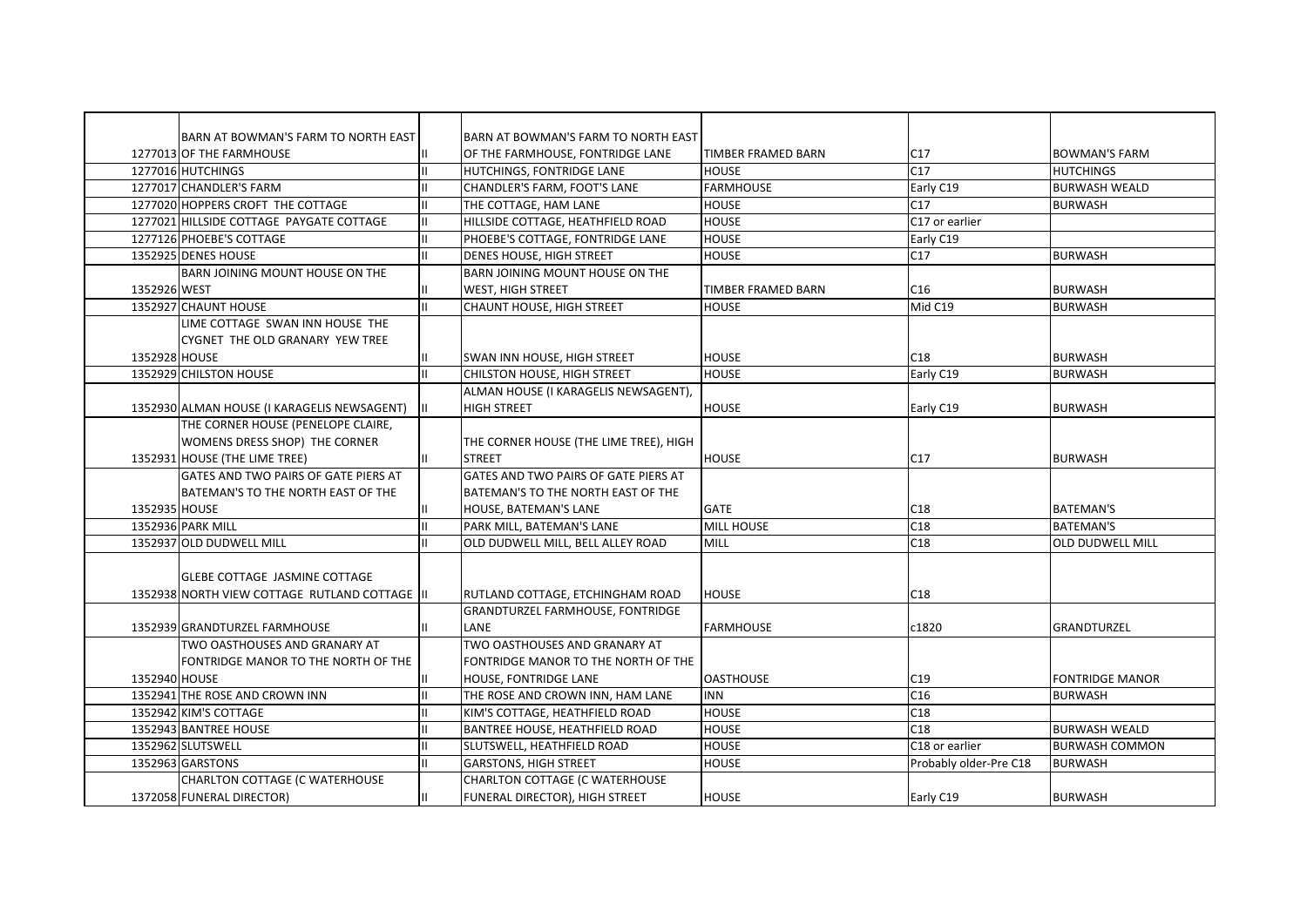|               | BARN AT BOWMAN'S FARM TO NORTH EAST           |               | BARN AT BOWMAN'S FARM TO NORTH EAST     |                           |                        |                         |
|---------------|-----------------------------------------------|---------------|-----------------------------------------|---------------------------|------------------------|-------------------------|
|               | 1277013 OF THE FARMHOUSE                      |               | OF THE FARMHOUSE, FONTRIDGE LANE        | <b>TIMBER FRAMED BARN</b> | C17                    | <b>BOWMAN'S FARM</b>    |
|               | 1277016 HUTCHINGS                             | $\mathbf{H}$  | HUTCHINGS, FONTRIDGE LANE               | <b>HOUSE</b>              | C17                    | <b>HUTCHINGS</b>        |
|               | 1277017 CHANDLER'S FARM                       | $\mathbf{II}$ | CHANDLER'S FARM, FOOT'S LANE            | <b>FARMHOUSE</b>          | Early C19              | <b>BURWASH WEALD</b>    |
|               | 1277020 HOPPERS CROFT THE COTTAGE             | $\mathbf{I}$  | THE COTTAGE, HAM LANE                   | <b>HOUSE</b>              | C17                    | <b>BURWASH</b>          |
|               | 1277021 HILLSIDE COTTAGE PAYGATE COTTAGE      | $\mathbf{I}$  | HILLSIDE COTTAGE, HEATHFIELD ROAD       | <b>HOUSE</b>              | C17 or earlier         |                         |
|               | 1277126 PHOEBE'S COTTAGE                      |               | PHOEBE'S COTTAGE, FONTRIDGE LANE        | <b>HOUSE</b>              | Early C19              |                         |
|               | 1352925 DENES HOUSE                           | $\mathbf{H}$  | <b>DENES HOUSE, HIGH STREET</b>         | <b>HOUSE</b>              | C17                    | <b>BURWASH</b>          |
|               | BARN JOINING MOUNT HOUSE ON THE               |               | BARN JOINING MOUNT HOUSE ON THE         |                           |                        |                         |
| 1352926 WEST  |                                               |               | <b>WEST, HIGH STREET</b>                | TIMBER FRAMED BARN        | C16                    | <b>BURWASH</b>          |
|               | 1352927 CHAUNT HOUSE                          | $\mathbf{H}$  | <b>CHAUNT HOUSE, HIGH STREET</b>        | <b>HOUSE</b>              | Mid C19                | <b>BURWASH</b>          |
|               | LIME COTTAGE SWAN INN HOUSE THE               |               |                                         |                           |                        |                         |
|               | CYGNET THE OLD GRANARY YEW TREE               |               |                                         |                           |                        |                         |
| 1352928 HOUSE |                                               |               | <b>SWAN INN HOUSE, HIGH STREET</b>      | <b>HOUSE</b>              | C18                    | <b>BURWASH</b>          |
|               | 1352929 CHILSTON HOUSE                        | $\mathbf{II}$ | CHILSTON HOUSE, HIGH STREET             | <b>HOUSE</b>              | Early C19              | <b>BURWASH</b>          |
|               |                                               |               | ALMAN HOUSE (I KARAGELIS NEWSAGENT),    |                           |                        |                         |
|               | 1352930 ALMAN HOUSE (I KARAGELIS NEWSAGENT)   |               | <b>HIGH STREET</b>                      | <b>HOUSE</b>              | Early C19              | <b>BURWASH</b>          |
|               | THE CORNER HOUSE (PENELOPE CLAIRE,            |               |                                         |                           |                        |                         |
|               | WOMENS DRESS SHOP) THE CORNER                 |               | THE CORNER HOUSE (THE LIME TREE), HIGH  |                           |                        |                         |
|               | 1352931 HOUSE (THE LIME TREE)                 |               | <b>STREET</b>                           | <b>HOUSE</b>              | C17                    | <b>BURWASH</b>          |
|               | GATES AND TWO PAIRS OF GATE PIERS AT          |               | GATES AND TWO PAIRS OF GATE PIERS AT    |                           |                        |                         |
|               | BATEMAN'S TO THE NORTH EAST OF THE            |               | BATEMAN'S TO THE NORTH EAST OF THE      |                           |                        |                         |
| 1352935 HOUSE |                                               |               | HOUSE, BATEMAN'S LANE                   | <b>GATE</b>               | C18                    | <b>BATEMAN'S</b>        |
|               | 1352936 PARK MILL                             | $\mathbf{H}$  | PARK MILL, BATEMAN'S LANE               | <b>MILL HOUSE</b>         | C18                    | <b>BATEMAN'S</b>        |
|               | 1352937 OLD DUDWELL MILL                      |               | OLD DUDWELL MILL, BELL ALLEY ROAD       | <b>MILL</b>               | C18                    | <b>OLD DUDWELL MILL</b> |
|               |                                               |               |                                         |                           |                        |                         |
|               | GLEBE COTTAGE JASMINE COTTAGE                 |               |                                         |                           |                        |                         |
|               | 1352938 NORTH VIEW COTTAGE RUTLAND COTTAGE II |               | RUTLAND COTTAGE, ETCHINGHAM ROAD        | <b>HOUSE</b>              | C18                    |                         |
|               |                                               |               | <b>GRANDTURZEL FARMHOUSE, FONTRIDGE</b> |                           |                        |                         |
|               | 1352939 GRANDTURZEL FARMHOUSE                 |               | LANE                                    | <b>FARMHOUSE</b>          | c1820                  | GRANDTURZEL             |
|               | TWO OASTHOUSES AND GRANARY AT                 |               | TWO OASTHOUSES AND GRANARY AT           |                           |                        |                         |
|               | FONTRIDGE MANOR TO THE NORTH OF THE           |               | FONTRIDGE MANOR TO THE NORTH OF THE     |                           |                        |                         |
| 1352940 HOUSE |                                               |               | HOUSE, FONTRIDGE LANE                   | <b>OASTHOUSE</b>          | C19                    | <b>FONTRIDGE MANOR</b>  |
|               | 1352941 THE ROSE AND CROWN INN                | $\mathbf{I}$  | THE ROSE AND CROWN INN, HAM LANE        | <b>INN</b>                | C16                    | <b>BURWASH</b>          |
|               | 1352942 KIM'S COTTAGE                         | $\mathbf{H}$  | KIM'S COTTAGE, HEATHFIELD ROAD          | <b>HOUSE</b>              | C18                    |                         |
|               | 1352943 BANTREE HOUSE                         |               | <b>BANTREE HOUSE, HEATHFIELD ROAD</b>   | <b>HOUSE</b>              | C18                    | <b>BURWASH WEALD</b>    |
|               | 1352962 SLUTSWELL                             | $\mathbf{I}$  | SLUTSWELL, HEATHFIELD ROAD              | <b>HOUSE</b>              | C18 or earlier         | <b>BURWASH COMMON</b>   |
|               | 1352963 GARSTONS                              | $\mathbf{H}$  | <b>GARSTONS, HIGH STREET</b>            | <b>HOUSE</b>              | Probably older-Pre C18 | <b>BURWASH</b>          |
|               |                                               |               |                                         |                           |                        |                         |
|               | CHARLTON COTTAGE (C WATERHOUSE                |               | CHARLTON COTTAGE (C WATERHOUSE          |                           |                        |                         |
|               | 1372058 FUNERAL DIRECTOR)                     |               | FUNERAL DIRECTOR), HIGH STREET          | <b>HOUSE</b>              | Early C19              | <b>BURWASH</b>          |